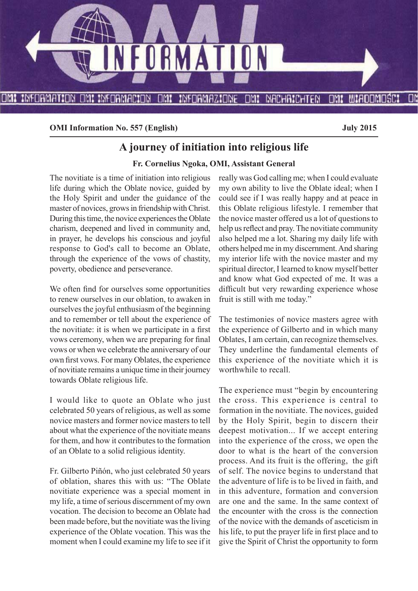

**OMI Information No. 557 (English) July 2015** 

# **A journey of initiation into religious life**

#### **Fr. Cornelius Ngoka, OMI, Assistant General**

The novitiate is a time of initiation into religious life during which the Oblate novice, guided by the Holy Spirit and under the guidance of the master of novices, grows in friendship with Christ. During this time, the novice experiences the Oblate charism, deepened and lived in community and, in prayer, he develops his conscious and joyful response to God's call to become an Oblate, through the experience of the vows of chastity, poverty, obedience and perseverance.

We often find for ourselves some opportunities to renew ourselves in our oblation, to awaken in ourselves the joyful enthusiasm of the beginning and to remember or tell about the experience of the novitiate: it is when we participate in a first vows ceremony, when we are preparing for final vows or when we celebrate the anniversary of our own first vows. For many Oblates, the experience of novitiate remains a unique time in their journey towards Oblate religious life.

I would like to quote an Oblate who just celebrated 50 years of religious, as well as some novice masters and former novice masters to tell about what the experience of the novitiate means for them, and how it contributes to the formation of an Oblate to a solid religious identity.

Fr. Gilberto Piñón, who just celebrated 50 years of oblation, shares this with us: "The Oblate novitiate experience was a special moment in my life, a time of serious discernment of my own vocation. The decision to become an Oblate had been made before, but the novitiate was the living experience of the Oblate vocation. This was the moment when I could examine my life to see if it really was God calling me; when I could evaluate my own ability to live the Oblate ideal; when I could see if I was really happy and at peace in this Oblate religious lifestyle. I remember that the novice master offered us a lot of questions to help us reflect and pray. The novitiate community also helped me a lot. Sharing my daily life with others helped me in my discernment. And sharing my interior life with the novice master and my spiritual director, I learned to know myself better and know what God expected of me. It was a difficult but very rewarding experience whose fruit is still with me today."

The testimonies of novice masters agree with the experience of Gilberto and in which many Oblates, I am certain, can recognize themselves. They underline the fundamental elements of this experience of the novitiate which it is worthwhile to recall.

The experience must "begin by encountering the cross. This experience is central to formation in the novitiate. The novices, guided by the Holy Spirit, begin to discern their deepest motivation... If we accept entering into the experience of the cross, we open the door to what is the heart of the conversion process. And its fruit is the offering, the gift of self. The novice begins to understand that the adventure of life is to be lived in faith, and in this adventure, formation and conversion are one and the same. In the same context of the encounter with the cross is the connection of the novice with the demands of asceticism in his life, to put the prayer life in first place and to give the Spirit of Christ the opportunity to form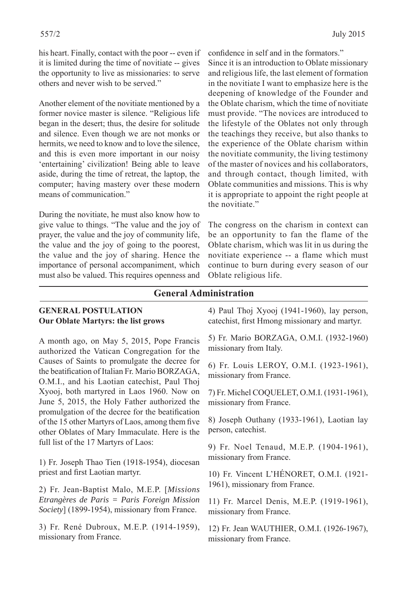his heart. Finally, contact with the poor -- even if it is limited during the time of novitiate -- gives the opportunity to live as missionaries: to serve others and never wish to be served."

Another element of the novitiate mentioned by a former novice master is silence. "Religious life began in the desert; thus, the desire for solitude and silence. Even though we are not monks or hermits, we need to know and to love the silence, and this is even more important in our noisy 'entertaining' civilization! Being able to leave aside, during the time of retreat, the laptop, the computer; having mastery over these modern means of communication."

During the novitiate, he must also know how to give value to things. "The value and the joy of prayer, the value and the joy of community life, the value and the joy of going to the poorest, the value and the joy of sharing. Hence the importance of personal accompaniment, which must also be valued. This requires openness and confidence in self and in the formators." Since it is an introduction to Oblate missionary and religious life, the last element of formation in the novitiate I want to emphasize here is the deepening of knowledge of the Founder and the Oblate charism, which the time of novitiate must provide. "The novices are introduced to the lifestyle of the Oblates not only through the teachings they receive, but also thanks to the experience of the Oblate charism within the novitiate community, the living testimony of the master of novices and his collaborators, and through contact, though limited, with Oblate communities and missions. This is why it is appropriate to appoint the right people at the novitiate"

The congress on the charism in context can be an opportunity to fan the flame of the Oblate charism, which was lit in us during the novitiate experience -- a flame which must continue to burn during every season of our Oblate religious life.

#### **General Administration**

#### **GENERAL POSTULATION Our Oblate Martyrs: the list grows**

A month ago, on May 5, 2015, Pope Francis authorized the Vatican Congregation for the Causes of Saints to promulgate the decree for the beatification of Italian Fr. Mario BORZAGA, O.M.I., and his Laotian catechist, Paul Thoj Xyooj, both martyred in Laos 1960. Now on June 5, 2015, the Holy Father authorized the promulgation of the decree for the beatification of the 15 other Martyrs of Laos, among them five other Oblates of Mary Immaculate. Here is the full list of the 17 Martyrs of Laos:

1) Fr. Joseph Thao Tien (1918-1954), diocesan priest and first Laotian martyr.

2) Fr. Jean-Baptist Malo, M.E.P. [*Missions Etrangères de Paris = Paris Foreign Mission Society*] (1899-1954), missionary from France.

3) Fr. René Dubroux, M.E.P. (1914-1959), missionary from France.

4) Paul Thoj Xyooj (1941-1960), lay person, catechist, first Hmong missionary and martyr.

5) Fr. Mario BORZAGA, O.M.I. (1932-1960) missionary from Italy.

6) Fr. Louis LEROY, O.M.I. (1923-1961), missionary from France.

7) Fr. Michel COQUELET, O.M.I. (1931-1961), missionary from France.

8) Joseph Outhany (1933-1961), Laotian lay person, catechist.

9) Fr. Noel Tenaud, M.E.P. (1904-1961), missionary from France.

10) Fr. Vincent L'HÉNORET, O.M.I. (1921- 1961), missionary from France.

11) Fr. Marcel Denis, M.E.P. (1919-1961), missionary from France.

12) Fr. Jean WAUTHIER, O.M.I. (1926-1967), missionary from France.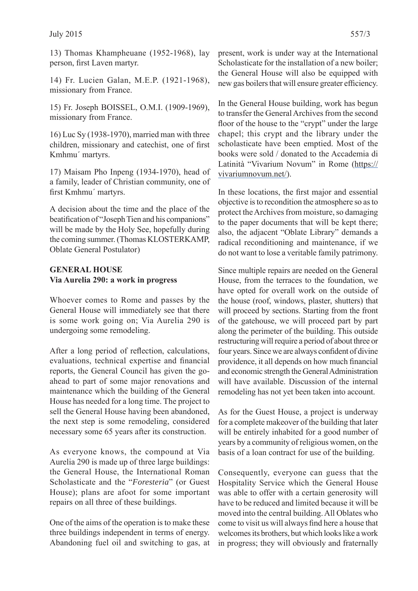13) Thomas Khampheuane (1952-1968), lay person, first Laven martyr.

14) Fr. Lucien Galan, M.E.P. (1921-1968), missionary from France.

15) Fr. Joseph BOISSEL, O.M.I. (1909-1969), missionary from France.

16) Luc Sy (1938-1970), married man with three children, missionary and catechist, one of first Kmhmu´ martyrs.

17) Maisam Pho Inpeng (1934-1970), head of a family, leader of Christian community, one of first Kmhmu' martyrs.

A decision about the time and the place of the beatification of "Joseph Tien and his companions" will be made by the Holy See, hopefully during the coming summer. (Thomas KLOSTERKAMP, Oblate General Postulator)

#### **GENERAL HOUSE Via Aurelia 290: a work in progress**

Whoever comes to Rome and passes by the General House will immediately see that there is some work going on; Via Aurelia 290 is undergoing some remodeling.

After a long period of reflection, calculations, evaluations, technical expertise and financial reports, the General Council has given the goahead to part of some major renovations and maintenance which the building of the General House has needed for a long time. The project to sell the General House having been abandoned, the next step is some remodeling, considered necessary some 65 years after its construction.

As everyone knows, the compound at Via Aurelia 290 is made up of three large buildings: the General House, the International Roman Scholasticate and the "*Foresteria*" (or Guest House); plans are afoot for some important repairs on all three of these buildings.

One of the aims of the operation is to make these three buildings independent in terms of energy. Abandoning fuel oil and switching to gas, at present, work is under way at the International Scholasticate for the installation of a new boiler; the General House will also be equipped with new gas boilers that will ensure greater efficiency.

In the General House building, work has begun to transfer the General Archives from the second floor of the house to the "crypt" under the large chapel; this crypt and the library under the scholasticate have been emptied. Most of the books were sold / donated to the Accademia di Latinità "Vivarium Novum" in Rome (https:// vivariumnovum.net/).

In these locations, the first major and essential objective is to recondition the atmosphere so as to protect the Archives from moisture, so damaging to the paper documents that will be kept there; also, the adjacent "Oblate Library" demands a radical reconditioning and maintenance, if we do not want to lose a veritable family patrimony.

Since multiple repairs are needed on the General House, from the terraces to the foundation, we have opted for overall work on the outside of the house (roof, windows, plaster, shutters) that will proceed by sections. Starting from the front of the gatehouse, we will proceed part by part along the perimeter of the building. This outside restructuring will require a period of about three or four years. Since we are always confident of divine providence, it all depends on how much financial and economic strength the General Administration will have available. Discussion of the internal remodeling has not yet been taken into account.

As for the Guest House, a project is underway for a complete makeover of the building that later will be entirely inhabited for a good number of years by a community of religious women, on the basis of a loan contract for use of the building.

Consequently, everyone can guess that the Hospitality Service which the General House was able to offer with a certain generosity will have to be reduced and limited because it will be moved into the central building. All Oblates who come to visit us will always find here a house that welcomes its brothers, but which looks like a work in progress; they will obviously and fraternally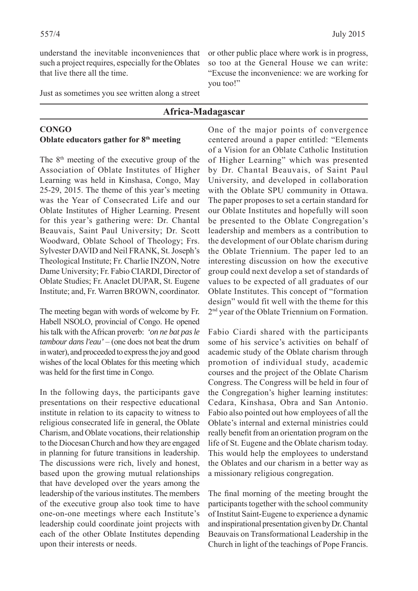understand the inevitable inconveniences that such a project requires, especially for the Oblates that live there all the time.

Just as sometimes you see written along a street

### **Africa-Madagascar**

#### **CONGO Oblate educators gather for 8th meeting**

The 8th meeting of the executive group of the Association of Oblate Institutes of Higher Learning was held in Kinshasa, Congo, May 25-29, 2015. The theme of this year's meeting was the Year of Consecrated Life and our Oblate Institutes of Higher Learning. Present for this year's gathering were: Dr. Chantal Beauvais, Saint Paul University; Dr. Scott Woodward, Oblate School of Theology; Frs. Sylvester DAVID and Neil FRANK, St. Joseph's Theological Institute; Fr. Charlie INZON, Notre Dame University; Fr. Fabio CIARDI, Director of Oblate Studies; Fr. Anaclet DUPAR, St. Eugene Institute; and, Fr. Warren BROWN, coordinator.

The meeting began with words of welcome by Fr. Habell NSOLO, provincial of Congo. He opened his talk with the African proverb: *'on ne bat pas le tambour dans l'eau'* – (one does not beat the drum in water), and proceeded to express the joy and good wishes of the local Oblates for this meeting which was held for the first time in Congo.

In the following days, the participants gave presentations on their respective educational institute in relation to its capacity to witness to religious consecrated life in general, the Oblate Charism, and Oblate vocations, their relationship to the Diocesan Church and how they are engaged in planning for future transitions in leadership. The discussions were rich, lively and honest, based upon the growing mutual relationships that have developed over the years among the leadership of the various institutes. The members of the executive group also took time to have one-on-one meetings where each Institute's leadership could coordinate joint projects with each of the other Oblate Institutes depending upon their interests or needs.

or other public place where work is in progress, so too at the General House we can write: "Excuse the inconvenience: we are working for you too!"

One of the major points of convergence centered around a paper entitled: "Elements of a Vision for an Oblate Catholic Institution of Higher Learning" which was presented by Dr. Chantal Beauvais, of Saint Paul University, and developed in collaboration with the Oblate SPU community in Ottawa. The paper proposes to set a certain standard for our Oblate Institutes and hopefully will soon be presented to the Oblate Congregation's leadership and members as a contribution to the development of our Oblate charism during the Oblate Triennium. The paper led to an interesting discussion on how the executive group could next develop a set of standards of values to be expected of all graduates of our Oblate Institutes. This concept of "formation design" would fit well with the theme for this 2nd year of the Oblate Triennium on Formation.

Fabio Ciardi shared with the participants some of his service's activities on behalf of academic study of the Oblate charism through promotion of individual study, academic courses and the project of the Oblate Charism Congress. The Congress will be held in four of the Congregation's higher learning institutes: Cedara, Kinshasa, Obra and San Antonio. Fabio also pointed out how employees of all the Oblate's internal and external ministries could really benefit from an orientation program on the life of St. Eugene and the Oblate charism today. This would help the employees to understand the Oblates and our charism in a better way as a missionary religious congregation.

The final morning of the meeting brought the participants together with the school community of Institut Saint-Eugene to experience a dynamic and inspirational presentation given by Dr. Chantal Beauvais on Transformational Leadership in the Church in light of the teachings of Pope Francis.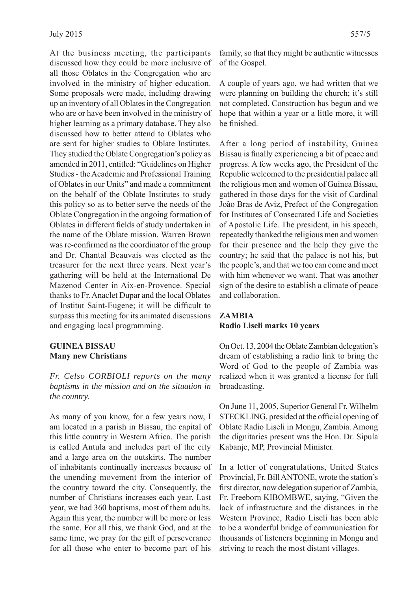At the business meeting, the participants discussed how they could be more inclusive of all those Oblates in the Congregation who are involved in the ministry of higher education. Some proposals were made, including drawing up an inventory of all Oblates in the Congregation who are or have been involved in the ministry of higher learning as a primary database. They also discussed how to better attend to Oblates who are sent for higher studies to Oblate Institutes. They studied the Oblate Congregation's policy as amended in 2011, entitled: "Guidelines on Higher Studies - the Academic and Professional Training of Oblates in our Units" and made a commitment on the behalf of the Oblate Institutes to study this policy so as to better serve the needs of the Oblate Congregation in the ongoing formation of Oblates in different fields of study undertaken in the name of the Oblate mission. Warren Brown was re-confirmed as the coordinator of the group and Dr. Chantal Beauvais was elected as the treasurer for the next three years. Next year's gathering will be held at the International De Mazenod Center in Aix-en-Provence. Special thanks to Fr. Anaclet Dupar and the local Oblates of Institut Saint-Eugene; it will be difficult to surpass this meeting for its animated discussions and engaging local programming.

#### **GUINEA BISSAU Many new Christians**

*Fr. Celso CORBIOLI reports on the many baptisms in the mission and on the situation in the country.*

As many of you know, for a few years now, I am located in a parish in Bissau, the capital of this little country in Western Africa. The parish is called Antula and includes part of the city and a large area on the outskirts. The number of inhabitants continually increases because of the unending movement from the interior of the country toward the city. Consequently, the number of Christians increases each year. Last year, we had 360 baptisms, most of them adults. Again this year, the number will be more or less the same. For all this, we thank God, and at the same time, we pray for the gift of perseverance for all those who enter to become part of his family, so that they might be authentic witnesses of the Gospel.

A couple of years ago, we had written that we were planning on building the church; it's still not completed. Construction has begun and we hope that within a year or a little more, it will be finished.

After a long period of instability, Guinea Bissau is finally experiencing a bit of peace and progress. A few weeks ago, the President of the Republic welcomed to the presidential palace all the religious men and women of Guinea Bissau, gathered in those days for the visit of Cardinal João Bras de Aviz, Prefect of the Congregation for Institutes of Consecrated Life and Societies of Apostolic Life. The president, in his speech, repeatedly thanked the religious men and women for their presence and the help they give the country; he said that the palace is not his, but the people's, and that we too can come and meet with him whenever we want. That was another sign of the desire to establish a climate of peace and collaboration.

#### **ZAMBIA Radio Liseli marks 10 years**

On Oct. 13, 2004 the Oblate Zambian delegation's dream of establishing a radio link to bring the Word of God to the people of Zambia was realized when it was granted a license for full broadcasting.

On June 11, 2005, Superior General Fr. Wilhelm STECKLING, presided at the official opening of Oblate Radio Liseli in Mongu, Zambia. Among the dignitaries present was the Hon. Dr. Sipula Kabanje, MP, Provincial Minister.

In a letter of congratulations, United States Provincial, Fr. Bill ANTONE, wrote the station's first director, now delegation superior of Zambia, Fr. Freeborn KIBOMBWE, saying, "Given the lack of infrastructure and the distances in the Western Province, Radio Liseli has been able to be a wonderful bridge of communication for thousands of listeners beginning in Mongu and striving to reach the most distant villages.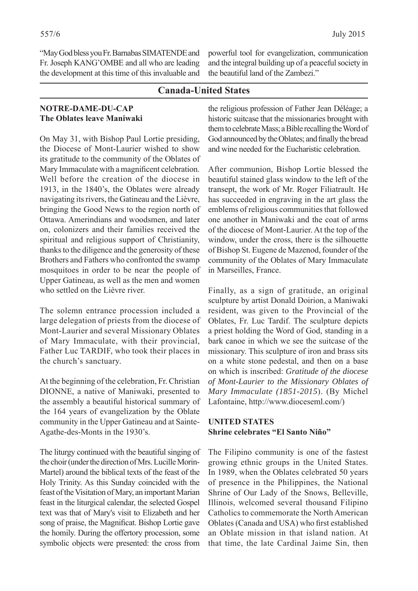"May God bless you Fr. Barnabas SIMATENDE and Fr. Joseph KANG'OMBE and all who are leading the development at this time of this invaluable and powerful tool for evangelization, communication and the integral building up of a peaceful society in the beautiful land of the Zambezi."

### **Canada-United States**

#### **NOTRE-DAME-DU-CAP The Oblates leave Maniwaki**

On May 31, with Bishop Paul Lortie presiding, the Diocese of Mont-Laurier wished to show its gratitude to the community of the Oblates of Mary Immaculate with a magnificent celebration. Well before the creation of the diocese in 1913, in the 1840's, the Oblates were already navigating its rivers, the Gatineau and the Lièvre, bringing the Good News to the region north of Ottawa. Amerindians and woodsmen, and later on, colonizers and their families received the spiritual and religious support of Christianity, thanks to the diligence and the generosity of these Brothers and Fathers who confronted the swamp mosquitoes in order to be near the people of Upper Gatineau, as well as the men and women who settled on the Lièvre river.

The solemn entrance procession included a large delegation of priests from the diocese of Mont-Laurier and several Missionary Oblates of Mary Immaculate, with their provincial, Father Luc TARDIF, who took their places in the church's sanctuary.

At the beginning of the celebration, Fr. Christian DIONNE, a native of Maniwaki, presented to the assembly a beautiful historical summary of the 164 years of evangelization by the Oblate community in the Upper Gatineau and at Sainte-Agathe-des-Monts in the 1930's.

The liturgy continued with the beautiful singing of the choir (under the direction of Mrs. Lucille Morin-Martel) around the biblical texts of the feast of the Holy Trinity. As this Sunday coincided with the feast of the Visitation of Mary, an important Marian feast in the liturgical calendar, the selected Gospel text was that of Mary's visit to Elizabeth and her song of praise, the Magnificat. Bishop Lortie gave the homily. During the offertory procession, some symbolic objects were presented: the cross from

the religious profession of Father Jean Déléage; a historic suitcase that the missionaries brought with them to celebrate Mass; a Bible recalling the Word of God announced by the Oblates; and finally the bread and wine needed for the Eucharistic celebration.

After communion, Bishop Lortie blessed the beautiful stained glass window to the left of the transept, the work of Mr. Roger Filiatrault. He has succeeded in engraving in the art glass the emblems of religious communities that followed one another in Maniwaki and the coat of arms of the diocese of Mont-Laurier. At the top of the window, under the cross, there is the silhouette of Bishop St. Eugene de Mazenod, founder of the community of the Oblates of Mary Immaculate in Marseilles, France.

Finally, as a sign of gratitude, an original sculpture by artist Donald Doirion, a Maniwaki resident, was given to the Provincial of the Oblates, Fr. Luc Tardif. The sculpture depicts a priest holding the Word of God, standing in a bark canoe in which we see the suitcase of the missionary. This sculpture of iron and brass sits on a white stone pedestal, and then on a base on which is inscribed: *Gratitude of the diocese of Mont-Laurier to the Missionary Oblates of Mary Immaculate (1851-2015*). (By Michel Lafontaine, http://www.dioceseml.com/)

#### **UNITED STATES Shrine celebrates "El Santo Niño"**

The Filipino community is one of the fastest growing ethnic groups in the United States. In 1989, when the Oblates celebrated 50 years of presence in the Philippines, the National Shrine of Our Lady of the Snows, Belleville, Illinois, welcomed several thousand Filipino Catholics to commemorate the North American Oblates (Canada and USA) who first established an Oblate mission in that island nation. At that time, the late Cardinal Jaime Sin, then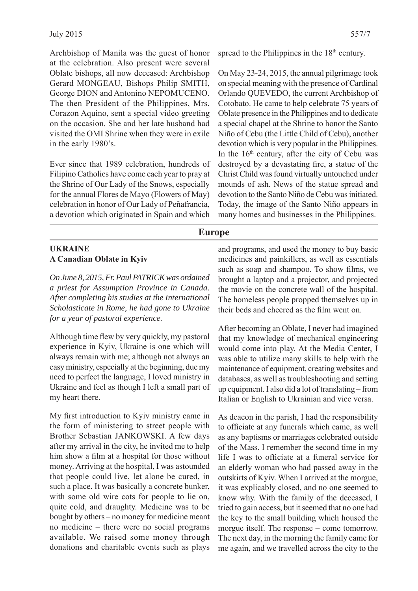Archbishop of Manila was the guest of honor at the celebration. Also present were several Oblate bishops, all now deceased: Archbishop Gerard MONGEAU, Bishops Philip SMITH, George DION and Antonino NEPOMUCENO. The then President of the Philippines, Mrs. Corazon Aquino, sent a special video greeting on the occasion. She and her late husband had visited the OMI Shrine when they were in exile in the early 1980's.

Ever since that 1989 celebration, hundreds of Filipino Catholics have come each year to pray at the Shrine of Our Lady of the Snows, especially for the annual Flores de Mayo (Flowers of May) celebration in honor of Our Lady of Peñafrancia, a devotion which originated in Spain and which

spread to the Philippines in the  $18<sup>th</sup>$  century.

On May 23-24, 2015, the annual pilgrimage took on special meaning with the presence of Cardinal Orlando QUEVEDO, the current Archbishop of Cotobato. He came to help celebrate 75 years of Oblate presence in the Philippines and to dedicate a special chapel at the Shrine to honor the Santo Niño of Cebu (the Little Child of Cebu), another devotion which is very popular in the Philippines. In the  $16<sup>th</sup>$  century, after the city of Cebu was destroyed by a devastating fire, a statue of the Christ Child was found virtually untouched under mounds of ash. News of the statue spread and devotion to the Santo Niño de Cebu was initiated. Today, the image of the Santo Niño appears in many homes and businesses in the Philippines.

#### **Europe**

#### **UKRAINE A Canadian Oblate in Kyiv**

*On June 8, 2015, Fr. Paul PATRICK was ordained a priest for Assumption Province in Canada. After completing his studies at the International Scholasticate in Rome, he had gone to Ukraine for a year of pastoral experience.*

Although time flew by very quickly, my pastoral experience in Kyiv, Ukraine is one which will always remain with me; although not always an easy ministry, especially at the beginning, due my need to perfect the language, I loved ministry in Ukraine and feel as though I left a small part of my heart there.

My first introduction to Kyiv ministry came in the form of ministering to street people with Brother Sebastian JANKOWSKI. A few days after my arrival in the city, he invited me to help him show a film at a hospital for those without money. Arriving at the hospital, I was astounded that people could live, let alone be cured, in such a place. It was basically a concrete bunker, with some old wire cots for people to lie on, quite cold, and draughty. Medicine was to be bought by others – no money for medicine meant no medicine – there were no social programs available. We raised some money through donations and charitable events such as plays

and programs, and used the money to buy basic medicines and painkillers, as well as essentials such as soap and shampoo. To show films, we brought a laptop and a projector, and projected the movie on the concrete wall of the hospital. The homeless people propped themselves up in their beds and cheered as the film went on.

After becoming an Oblate, I never had imagined that my knowledge of mechanical engineering would come into play. At the Media Center, I was able to utilize many skills to help with the maintenance of equipment, creating websites and databases, as well as troubleshooting and setting up equipment. I also did a lot of translating – from Italian or English to Ukrainian and vice versa.

As deacon in the parish, I had the responsibility to officiate at any funerals which came, as well as any baptisms or marriages celebrated outside of the Mass. I remember the second time in my life I was to officiate at a funeral service for an elderly woman who had passed away in the outskirts of Kyiv. When I arrived at the morgue, it was explicably closed, and no one seemed to know why. With the family of the deceased, I tried to gain access, but it seemed that no one had the key to the small building which housed the morgue itself. The response – come tomorrow. The next day, in the morning the family came for me again, and we travelled across the city to the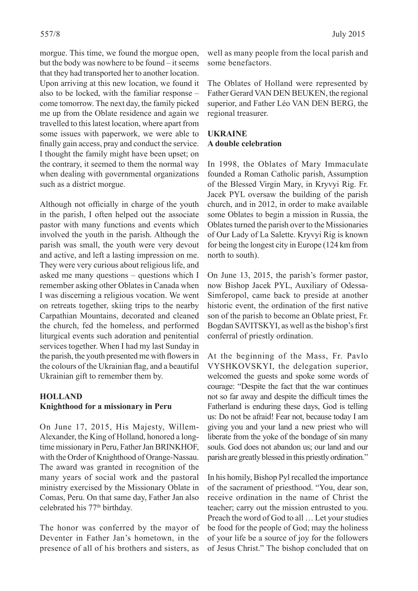morgue. This time, we found the morgue open, but the body was nowhere to be found – it seems that they had transported her to another location. Upon arriving at this new location, we found it also to be locked, with the familiar response – come tomorrow. The next day, the family picked me up from the Oblate residence and again we travelled to this latest location, where apart from some issues with paperwork, we were able to finally gain access, pray and conduct the service. I thought the family might have been upset; on the contrary, it seemed to them the normal way when dealing with governmental organizations such as a district morgue.

Although not officially in charge of the youth in the parish, I often helped out the associate pastor with many functions and events which involved the youth in the parish. Although the parish was small, the youth were very devout and active, and left a lasting impression on me. They were very curious about religious life, and asked me many questions – questions which I remember asking other Oblates in Canada when I was discerning a religious vocation. We went on retreats together, skiing trips to the nearby Carpathian Mountains, decorated and cleaned the church, fed the homeless, and performed liturgical events such adoration and penitential services together. When I had my last Sunday in the parish, the youth presented me with flowers in the colours of the Ukrainian flag, and a beautiful Ukrainian gift to remember them by.

#### **HOLLAND Knighthood for a missionary in Peru**

On June 17, 2015, His Majesty, Willem-Alexander, the King of Holland, honored a longtime missionary in Peru, Father Jan BRINKHOF, with the Order of Knighthood of Orange-Nassau. The award was granted in recognition of the many years of social work and the pastoral ministry exercised by the Missionary Oblate in Comas, Peru. On that same day, Father Jan also celebrated his 77<sup>th</sup> birthday.

The honor was conferred by the mayor of Deventer in Father Jan's hometown, in the presence of all of his brothers and sisters, as

well as many people from the local parish and some benefactors.

The Oblates of Holland were represented by Father Gerard VAN DEN BEUKEN, the regional superior, and Father Léo VAN DEN BERG, the regional treasurer.

#### **UKRAINE A double celebration**

In 1998, the Oblates of Mary Immaculate founded a Roman Catholic parish, Assumption of the Blessed Virgin Mary, in Kryvyi Rig. Fr. Jacek PYL oversaw the building of the parish church, and in 2012, in order to make available some Oblates to begin a mission in Russia, the Oblates turned the parish over to the Missionaries of Our Lady of La Salette. Kryvyi Rig is known for being the longest city in Europe (124 km from north to south).

On June 13, 2015, the parish's former pastor, now Bishop Jacek PYL, Auxiliary of Odessa-Simferopol, came back to preside at another historic event, the ordination of the first native son of the parish to become an Oblate priest, Fr. Bogdan SAVITSKYI, as well as the bishop's first conferral of priestly ordination.

At the beginning of the Mass, Fr. Pavlo VYSHKOVSKYI, the delegation superior, welcomed the guests and spoke some words of courage: "Despite the fact that the war continues not so far away and despite the difficult times the Fatherland is enduring these days, God is telling us: Do not be afraid! Fear not, because today I am giving you and your land a new priest who will liberate from the yoke of the bondage of sin many souls. God does not abandon us; our land and our parish are greatly blessed in this priestly ordination."

In his homily, Bishop Pyl recalled the importance of the sacrament of priesthood. "You, dear son, receive ordination in the name of Christ the teacher; carry out the mission entrusted to you. Preach the word of God to all … Let your studies be food for the people of God; may the holiness of your life be a source of joy for the followers of Jesus Christ." The bishop concluded that on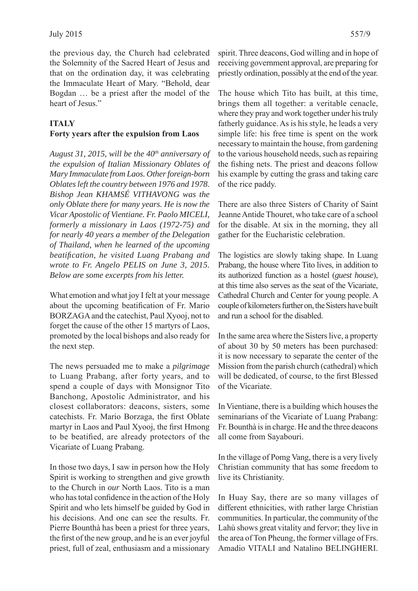the previous day, the Church had celebrated the Solemnity of the Sacred Heart of Jesus and that on the ordination day, it was celebrating the Immaculate Heart of Mary. "Behold, dear Bogdan … be a priest after the model of the heart of Jesus."

#### **ITALY**

#### **Forty years after the expulsion from Laos**

*August 31, 2015, will be the 40th anniversary of the expulsion of Italian Missionary Oblates of Mary Immaculate from Laos. Other foreign-born Oblates left the country between 1976 and 1978. Bishop Jean KHAMSÉ VITHAVONG was the only Oblate there for many years. He is now the Vicar Apostolic of Vientiane. Fr. Paolo MICELI, formerly a missionary in Laos (1972-75) and for nearly 40 years a member of the Delegation of Thailand, when he learned of the upcoming beatifi cation, he visited Luang Prabang and wrote to Fr. Angelo PELIS on June 3, 2015. Below are some excerpts from his letter.*

What emotion and what joy I felt at your message about the upcoming beatification of Fr. Mario BORZAGA and the catechist, Paul Xyooj, not to forget the cause of the other 15 martyrs of Laos, promoted by the local bishops and also ready for the next step.

The news persuaded me to make a *pilgrimage* to Luang Prabang, after forty years, and to spend a couple of days with Monsignor Tito Banchong, Apostolic Administrator, and his closest collaborators: deacons, sisters, some catechists. Fr. Mario Borzaga, the first Oblate martyr in Laos and Paul Xyooj, the first Hmong to be beatified, are already protectors of the Vicariate of Luang Prabang.

In those two days, I saw in person how the Holy Spirit is working to strengthen and give growth to the Church in *our* North Laos. Tito is a man who has total confidence in the action of the Holy Spirit and who lets himself be guided by God in his decisions. And one can see the results. Fr. Pierre Bounthà has been a priest for three years, the first of the new group, and he is an ever joyful priest, full of zeal, enthusiasm and a missionary

spirit. Three deacons, God willing and in hope of receiving government approval, are preparing for priestly ordination, possibly at the end of the year.

The house which Tito has built, at this time, brings them all together: a veritable cenacle, where they pray and work together under his truly fatherly guidance. As is his style, he leads a very simple life: his free time is spent on the work necessary to maintain the house, from gardening to the various household needs, such as repairing the fishing nets. The priest and deacons follow his example by cutting the grass and taking care of the rice paddy.

There are also three Sisters of Charity of Saint Jeanne Antide Thouret, who take care of a school for the disable. At six in the morning, they all gather for the Eucharistic celebration.

The logistics are slowly taking shape. In Luang Prabang, the house where Tito lives, in addition to its authorized function as a hostel (*guest house*), at this time also serves as the seat of the Vicariate, Cathedral Church and Center for young people. A couple of kilometers further on, the Sisters have built and run a school for the disabled.

In the same area where the Sisters live, a property of about 30 by 50 meters has been purchased: it is now necessary to separate the center of the Mission from the parish church (cathedral) which will be dedicated, of course, to the first Blessed of the Vicariate.

In Vientiane, there is a building which houses the seminarians of the Vicariate of Luang Prabang: Fr. Bounthà is in charge. He and the three deacons all come from Sayabouri.

In the village of Pomg Vang, there is a very lively Christian community that has some freedom to live its Christianity.

In Huay Say, there are so many villages of different ethnicities, with rather large Christian communities. In particular, the community of the Lahù shows great vitality and fervor; they live in the area of Ton Pheung, the former village of Frs. Amadio VITALI and Natalino BELINGHERI.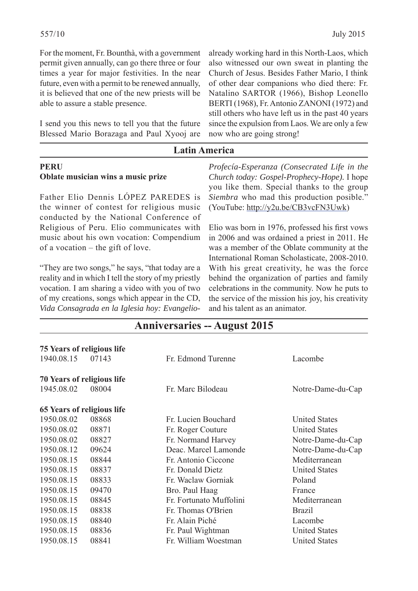For the moment, Fr. Bounthà, with a government permit given annually, can go there three or four times a year for major festivities. In the near future, even with a permit to be renewed annually, it is believed that one of the new priests will be able to assure a stable presence.

I send you this news to tell you that the future Blessed Mario Borazaga and Paul Xyooj are

already working hard in this North-Laos, which also witnessed our own sweat in planting the Church of Jesus. Besides Father Mario, I think of other dear companions who died there: Fr. Natalino SARTOR (1966), Bishop Leonello BERTI (1968), Fr. Antonio ZANONI (1972) and still others who have left us in the past 40 years since the expulsion from Laos. We are only a few now who are going strong!

### **Latin America**

#### **PERU Oblate musician wins a music prize**

Father Elio Dennis LÓPEZ PAREDES is the winner of contest for religious music conducted by the National Conference of Religious of Peru. Elio communicates with music about his own vocation: Compendium of a vocation – the gift of love.

"They are two songs," he says, "that today are a reality and in which I tell the story of my priestly vocation. I am sharing a video with you of two of my creations, songs which appear in the CD, *Vida Consagrada en la Iglesia hoy: Evangelio-*

*Profecía-Esperanza (Consecrated Life in the Church today: Gospel-Prophecy-Hope).* I hope you like them. Special thanks to the group *Siembra* who mad this production posible." (YouTube: http://y2u.be/CB3vcFN3Uwk)

Elio was born in 1976, professed his first vows in 2006 and was ordained a priest in 2011. He was a member of the Oblate community at the International Roman Scholasticate, 2008-2010. With his great creativity, he was the force behind the organization of parties and family celebrations in the community. Now he puts to the service of the mission his joy, his creativity and his talent as an animator.

| <b>Anniversaries -- August 2015</b> |  |  |
|-------------------------------------|--|--|
|                                     |  |  |

| 75 Years of religious life        |       |                         |                      |
|-----------------------------------|-------|-------------------------|----------------------|
| 1940.08.15                        | 07143 | Fr. Edmond Turenne      | Lacombe              |
| <b>70 Years of religious life</b> |       |                         |                      |
| 1945.08.02                        | 08004 | Fr. Marc Bilodeau       | Notre-Dame-du-Cap    |
| 65 Years of religious life        |       |                         |                      |
| 1950.08.02                        | 08868 | Fr. Lucien Bouchard     | <b>United States</b> |
| 1950.08.02                        | 08871 | Fr. Roger Couture       | <b>United States</b> |
| 1950.08.02                        | 08827 | Fr. Normand Harvey      | Notre-Dame-du-Cap    |
| 1950.08.12                        | 09624 | Deac. Marcel Lamonde    | Notre-Dame-du-Cap    |
| 1950.08.15                        | 08844 | Fr. Antonio Ciccone     | Mediterranean        |
| 1950.08.15                        | 08837 | Fr. Donald Dietz        | <b>United States</b> |
| 1950.08.15                        | 08833 | Fr. Waclaw Gorniak      | Poland               |
| 1950.08.15                        | 09470 | Bro. Paul Haag          | France               |
| 1950.08.15                        | 08845 | Fr. Fortunato Muffolini | Mediterranean        |
| 1950.08.15                        | 08838 | Fr. Thomas O'Brien      | <b>Brazil</b>        |
| 1950.08.15                        | 08840 | Fr. Alain Piché         | Lacombe              |
| 1950.08.15                        | 08836 | Fr. Paul Wightman       | <b>United States</b> |
| 1950.08.15                        | 08841 | Fr. William Woestman    | <b>United States</b> |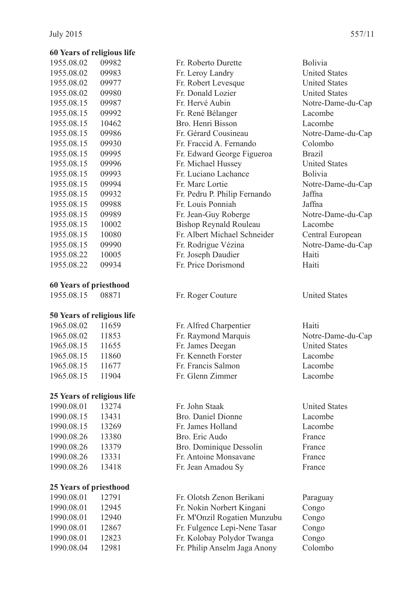#### **60 Years of religious life**

| 1955.08.02 | 09982 |
|------------|-------|
| 1955.08.02 | 09983 |
| 1955.08.02 | 09977 |
| 1955.08.02 | 09980 |
| 1955.08.15 | 09987 |
| 1955.08.15 | 09992 |
| 1955.08.15 | 10462 |
| 1955.08.15 | 09986 |
| 1955.08.15 | 09930 |
| 1955.08.15 | 09995 |
| 1955.08.15 | 09996 |
| 1955.08.15 | 09993 |
| 1955.08.15 | 09994 |
| 1955.08.15 | 09932 |
| 1955.08.15 | 09988 |
| 1955.08.15 | 09989 |
| 1955.08.15 | 10002 |
| 1955.08.15 | 10080 |
| 1955.08.15 | 09990 |
| 1955.08.22 | 10005 |
| 1955.08.22 | 09934 |

#### **60 Years of priesthood**

## **50 Years of religious life**

 1965.08.02 11659 Fr. Alfred Charpentier Haiti 1965.08.02 11853 Fr. Raymond Marquis Notre-Dame-du-Cap 1965.08.15 11655 Fr. James Deegan United States 1965.08.15 11860 Fr. Kenneth Forster Lacombe 1965.08.15 11677 Fr. Francis Salmon Lacombe 1965.08.15 11904 Fr. Glenn Zimmer Lacombe

#### **25 Years of religious life**

#### **25 Years of priesthood**

Fr. Roberto Durette Bolivia 1955. Fr. Leroy Landry United States Fr. Robert Levesque United States Fr. Donald Lozier United States Fr. Hervé Aubin Notre-Dame-du-Cap 1955.08.15 09992 Fr. René Bélanger Lacombe 1955. Bro. Henri Bisson Lacombe Fr. Gérard Cousineau Notre-Dame-du-Cap 1955.08.15 09930 Fr. Fraccid A. Fernando Colombo 1955.08.15 09995 Fr. Edward George Figueroa Brazil Fr. Michael Hussey United States Fr. Luciano Lachance Bolivia Fr. Marc Lortie Notre-Dame-du-Cap 1955.08.15 09932 Fr. Pedru P. Philip Fernando Jaffna 1955.08.15 09988 Fr. Louis Ponniah Jaffna Fr. Jean-Guy Roberge Notre-Dame-du-Cap 1955.09 Bishop Reynald Rouleau Lacombe Fr. Albert Michael Schneider Central European Fr. Rodrigue Vézina Notre-Dame-du-Cap 1955.08.22 10005 Fr. Joseph Daudier Haiti Fr. Price Dorismond Haiti

1955.08.15 08871 Fr. Roger Couture United States

 1990.08.01 13274 Fr. John Staak United States 1990.08.15 13431 Bro. Daniel Dionne Lacombe 1990.08.15 13269 Fr. James Holland Lacombe 1990.08.26 13380 Bro. Eric Audo France 1990.08.26 13379 Bro. Dominique Dessolin France 1990.08.26 13331 Fr. Antoine Monsavane France 1990.08.26 13418 Fr. Jean Amadou Sy France

 1990.08.01 12791 Fr. Olotsh Zenon Berikani Paraguay 1990.08.01 12945 Fr. Nokin Norbert Kingani Congo 1990.08.01 12940 Fr. M'Onzil Rogatien Munzubu Congo 1990.08.01 12867 Fr. Fulgence Lepi-Nene Tasar Congo 1990.08.01 12823 Fr. Kolobay Polydor Twanga Congo 1990.08.04 12981 Fr. Philip Anselm Jaga Anony Colombo

- 
- 
-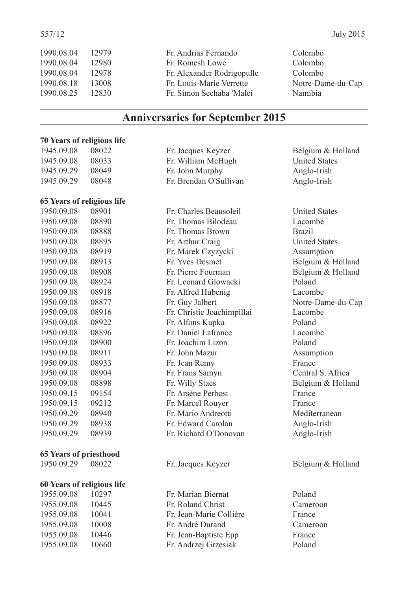| 1990.08.04 | 12979 | Fr. Andrias Fernando       | Colombo           |
|------------|-------|----------------------------|-------------------|
| 1990.08.04 | 12980 | Fr. Romesh Lowe            | Colombo           |
| 1990.08.04 | 12978 | Fr. Alexander Rodrigopulle | Colombo           |
| 1990.08.18 | 13008 | Fr. Louis-Marie Verrette   | Notre-Dame-du-Cap |
| 1990.08.25 | 12830 | Fr. Simon Sechaba 'Malei   | Namibia           |
|            |       |                            |                   |

# **Anniversaries for September 2015**

#### **70 Years of religious life**

| 1945.09.08                    | 08022             |
|-------------------------------|-------------------|
| 1945.09.08                    | 08033             |
| 1945.09.29                    | 08049             |
| 1945.09.29                    | 08048             |
|                               |                   |
| 65 Years of religious life    |                   |
| 1950.09.08                    | 08901             |
| 1950.09.08                    | 08890             |
| 1950.09.08 08888              |                   |
| 1950.09.08 08895              |                   |
| 1950.09.08 08919              |                   |
| 1950.09.08                    | 08913             |
| 1950.09.08                    | 08908             |
| 1950.09.08                    | 08924             |
| 1950.09.08                    | 08918             |
| 1950.09.08                    | 08877             |
| 1950.09.08                    | 08916             |
| 1950.09.08                    | 08922             |
| 1950.09.08                    | 08896             |
| 1950.09.08                    | 08900             |
| 1950.09.08                    | 08911             |
| 1950.09.08                    | 08933             |
| 1950.09.08                    | 08904             |
| 1950.09.08                    | 08898             |
| 1950.09.15                    | 09154             |
| 1950.09.15                    | 09212             |
| 1950.09.29                    | 08940             |
| 1950.09.29                    | 08938             |
| 1950.09.29                    | 08939             |
|                               |                   |
| <b>65 Years of priesthood</b> |                   |
| 1950.09.29 08022              |                   |
| 60 Years of religious life    |                   |
| 1955.09.08 10297              |                   |
| $= 0.000$                     | $\sim$ 4 $\sim$ 4 |

| Fr. Jacques Keyzer     |  |
|------------------------|--|
| Fr. William McHugh     |  |
| Fr. John Murphy        |  |
| Fr. Brendan O'Sullivan |  |
|                        |  |
|                        |  |

1950.09.08 08901 Fr. Charles Beausoleil United States Fr. Thomas Bilodeau Lacombe Fr. Thomas Brown Brazil Fr. Arthur Craig United States 1950.09.08 08919 Fr. Marek Czyzycki Assumption Fr. Yves Desmet Belgium & Holland Fr. Pierre Fourman Belgium & Holland Fr. Leonard Glowacki Poland Fr. Alfred Hubenig Lacombe Fr. Guy Jalbert Notre-Dame-du-Cap 1950.09.08 08916 Fr. Christie Joachimpillai Lacombe Fr. Alfons Kupka Poland 1950.09.08 08896 Fr. Daniel Lafrance Lacombe 1950.09.08 08900 Fr. Joachim Lizon Poland Fr. John Mazur Assumption Fr. Jean Remy France Fr. Frans Samyn Central S. Africa Fr. Willy Staes Belgium & Holland Fr. Arsène Perbost France Fr. Marcel Rouver France Fr. Mario Andreotti Mediterranean 1950.09.29 08938 Fr. Edward Carolan Anglo-Irish 1950.09.29 08939 Fr. Richard O'Donovan Anglo-Irish

1955.09.08 10297 Fr. Marian Biernat Poland 1955.09.08 10445 Fr. Roland Christ Cameroon 1955.09.08 10041 Fr. Jean-Marie Collière France 1955.09.08 10008 Fr. André Durand Cameroon 1955.09.08 10446 Fr. Jean-Baptiste Epp France 1955.09.08 10660 Fr. Andrzej Grzesiak Poland

Belgium & Holland **United States** Anglo-Irish 1 Anglo-Irish

- Fr. Jacques Keyzer Belgium & Holland
	-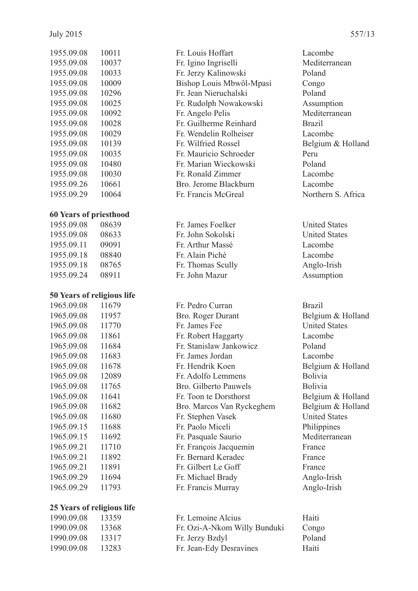| 1955.09.08 | 10011 |
|------------|-------|
| 1955.09.08 | 10037 |
| 1955.09.08 | 10033 |
| 1955.09.08 | 10009 |
| 1955.09.08 | 10296 |
| 1955.09.08 | 10025 |
| 1955.09.08 | 10092 |
| 1955.09.08 | 10028 |
| 1955.09.08 | 10029 |
| 1955.09.08 | 10139 |
| 1955.09.08 | 10035 |
| 1955.09.08 | 10480 |
| 1955.09.08 | 10030 |
| 1955.09.26 | 10661 |
| 1955.09.29 | 10064 |
|            |       |

#### **60 Years of priesthood**

1955.09.08 08639 Fr. James Foelker United States 1955.09.08 08633 Fr. John Sokolski United States 1955.09.11 09091 Fr. Arthur Massé Lacombe 1955.09.18 08840 Fr. Alain Piché Lacombe 1955.09.18 08765 Fr. Thomas Scully Anglo-Irish 1955.09.24 08911 Fr. John Mazur Assumption

#### **50 Years of religious life**

| 1965.09.08 | 11679 |
|------------|-------|
| 1965.09.08 | 11957 |
| 1965.09.08 | 11770 |
| 1965.09.08 | 11861 |
| 1965.09.08 | 11684 |
| 1965.09.08 | 11683 |
| 1965.09.08 | 11678 |
| 1965.09.08 | 12089 |
| 1965.09.08 | 11765 |
| 1965.09.08 | 11641 |
| 1965.09.08 | 11682 |
| 1965.09.08 | 11680 |
| 1965.09.15 | 11688 |
| 1965.09.15 | 11692 |
| 1965.09.21 | 11710 |
| 1965.09.21 | 11892 |
| 1965.09.21 | 11891 |
| 1965.09.29 | 11694 |
| 1965.09.29 | 11793 |

#### **25 Years of religious life**

| 1955.09.08 | 10011 | Fr. Louis Hoffart        | Lacombe        |
|------------|-------|--------------------------|----------------|
| 1955.09.08 | 10037 | Fr. Igino Ingriselli     | Mediterra      |
| 1955.09.08 | 10033 | Fr. Jerzy Kalinowski     | Poland         |
| 1955.09.08 | 10009 | Bishop Louis Mbwôl-Mpasi | Congo          |
| 1955.09.08 | 10296 | Fr. Jean Nieruchalski    | Poland         |
| 1955.09.08 | 10025 | Fr. Rudolph Nowakowski   | <b>Assumpt</b> |
| 1955.09.08 | 10092 | Fr. Angelo Pelis         | Mediterra      |
| 1955.09.08 | 10028 | Fr. Guilherme Reinhard   | <b>Brazil</b>  |
| 1955.09.08 | 10029 | Fr. Wendelin Rolheiser   | Lacombe        |
| 1955.09.08 | 10139 | Fr. Wilfried Rossel      | <b>Belgium</b> |
| 1955.09.08 | 10035 | Fr. Mauricio Schroeder   | Peru           |
| 1955.09.08 | 10480 | Fr. Marian Wieckowski    | Poland         |
| 1955.09.08 | 10030 | Fr. Ronald Zimmer        | Lacombe        |
| 1955.09.26 | 10661 | Bro. Jerome Blackburn    | Lacombe        |
| 1955.09.29 | 10064 | Fr Francis McGreal       | Northern       |

| 1965.09.08 | 11679 | Fr. Pedro Curran          | <b>Brazil</b>  |
|------------|-------|---------------------------|----------------|
| 1965.09.08 | 11957 | Bro. Roger Durant         | Belgium        |
| 1965.09.08 | 11770 | Fr. James Fee             | United St      |
| 1965.09.08 | 11861 | Fr. Robert Haggarty       | Lacombe        |
| 1965.09.08 | 11684 | Fr. Stanislaw Jankowicz   | Poland         |
| 1965.09.08 | 11683 | Fr. James Jordan          | Lacombe        |
| 1965.09.08 | 11678 | Fr. Hendrik Koen          | <b>Belgium</b> |
| 1965.09.08 | 12089 | Fr. Adolfo Lemmens        | <b>Bolivia</b> |
| 1965.09.08 | 11765 | Bro. Gilberto Pauwels     | <b>Bolivia</b> |
| 1965.09.08 | 11641 | Fr. Toon te Dorsthorst    | <b>Belgium</b> |
| 1965.09.08 | 11682 | Bro. Marcos Van Ryckeghem | Belgium        |
| 1965.09.08 | 11680 | Fr. Stephen Vasek         | United St      |
| 1965.09.15 | 11688 | Fr. Paolo Miceli          | Philippin      |
| 1965.09.15 | 11692 | Fr. Pasquale Saurio       | Mediterra      |
| 1965.09.21 | 11710 | Fr. François Jacquemin    | France         |
| 1965.09.21 | 11892 | Fr. Bernard Keradec       | France         |
| 1965.09.21 | 11891 | Fr. Gilbert Le Goff       | France         |
| 1965.09.29 | 11694 | Fr. Michael Brady         | Anglo-Iri      |
| 1965.09.29 | 11793 | Fr. Francis Murray        | Anglo-Iri      |
|            |       |                           |                |

Mediterranean Assumption Mediterranean Belgium & Holland r. Francis McGreal Northern S. Africa

Belgium & Holland **United States** Belgium & Holland Belgium & Holland n Belgium & Holland United States Philippines Mediterranean Anglo-Irish Anglo-Irish

1990.09.08 13359 Fr. Lemoine Alcius Haiti 1990.09.08 13368 Fr. Ozi-A-Nkom Willy Bunduki Congo 1990.09.08 13317 Fr. Jerzy Bzdyl Poland 1990.09.08 13283 Fr. Jean-Edy Desravines Haiti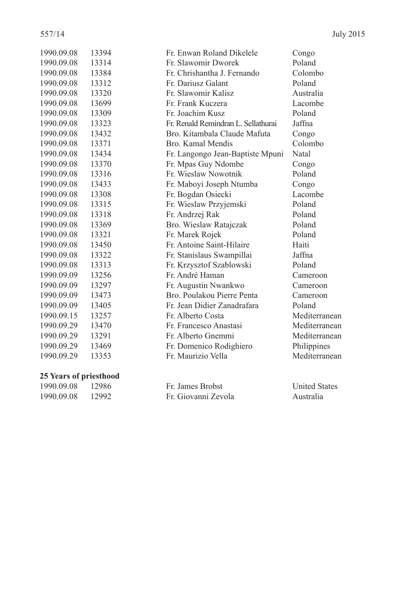| 1990.09.08 | 13394 | Fr. Enwan Roland Dikelele           | Congo         |
|------------|-------|-------------------------------------|---------------|
| 1990.09.08 | 13314 | Fr. Slawomir Dworek                 | Poland        |
| 1990.09.08 | 13384 | Fr. Chrishantha J. Fernando         | Colombo       |
| 1990.09.08 | 13312 | Fr. Dariusz Galant                  | Poland        |
| 1990.09.08 | 13320 | Fr. Slawomir Kalisz                 | Australia     |
| 1990.09.08 | 13699 | Fr. Frank Kuczera                   | Lacombe       |
| 1990.09.08 | 13309 | Fr. Joachim Kusz                    | Poland        |
| 1990.09.08 | 13323 | Fr. Renald Remindran L. Sellathurai | Jaffna        |
| 1990.09.08 | 13432 | Bro. Kitambala Claude Mafuta        | Congo         |
| 1990.09.08 | 13371 | Bro. Kamal Mendis                   | Colombo       |
| 1990.09.08 | 13434 | Fr. Langongo Jean-Baptiste Mpuni    | Natal         |
| 1990.09.08 | 13370 | Fr. Mpas Guy Ndombe                 | Congo         |
| 1990.09.08 | 13316 | Fr. Wieslaw Nowotnik                | Poland        |
| 1990.09.08 | 13433 | Fr. Maboyi Joseph Ntumba            | Congo         |
| 1990.09.08 | 13308 | Fr. Bogdan Osiecki                  | Lacombe       |
| 1990.09.08 | 13315 | Fr. Wieslaw Przyjemski              | Poland        |
| 1990.09.08 | 13318 | Fr. Andrzej Rak                     | Poland        |
| 1990.09.08 | 13369 | Bro. Wieslaw Ratajczak              | Poland        |
| 1990.09.08 | 13321 | Fr. Marek Rojek                     | Poland        |
| 1990.09.08 | 13450 | Fr. Antoine Saint-Hilaire           | Haiti         |
| 1990.09.08 | 13322 | Fr. Stanislaus Swampillai           | Jaffna        |
| 1990.09.08 | 13313 | Fr. Krzysztof Szablowski            | Poland        |
| 1990.09.09 | 13256 | Fr. André Haman                     | Cameroon      |
| 1990.09.09 | 13297 | Fr. Augustin Nwankwo                | Cameroon      |
| 1990.09.09 | 13473 | Bro. Poulakou Pierre Penta          | Cameroon      |
| 1990.09.09 | 13405 | Fr. Jean Didier Zanadrafara         | Poland        |
| 1990.09.15 | 13257 | Fr. Alberto Costa                   | Mediterranean |
| 1990.09.29 | 13470 | Fr. Francesco Anastasi              | Mediterranean |
| 1990.09.29 | 13291 | Fr. Alberto Gnemmi                  | Mediterranean |
| 1990.09.29 | 13469 | Fr. Domenico Rodighiero             | Philippines   |
| 1990.09.29 | 13353 | Fr. Maurizio Vella                  | Mediterranean |
|            |       |                                     |               |

#### **25 Years of priesthood**

| 1990.09.08 | 12986 |
|------------|-------|
| 1990.09.08 | 12992 |

| 1990.09.08       | - 12986 | Fr. James Brobst    | <b>United States</b> |
|------------------|---------|---------------------|----------------------|
| 1990.09.08 12992 |         | Fr. Giovanni Zevola | Australia            |